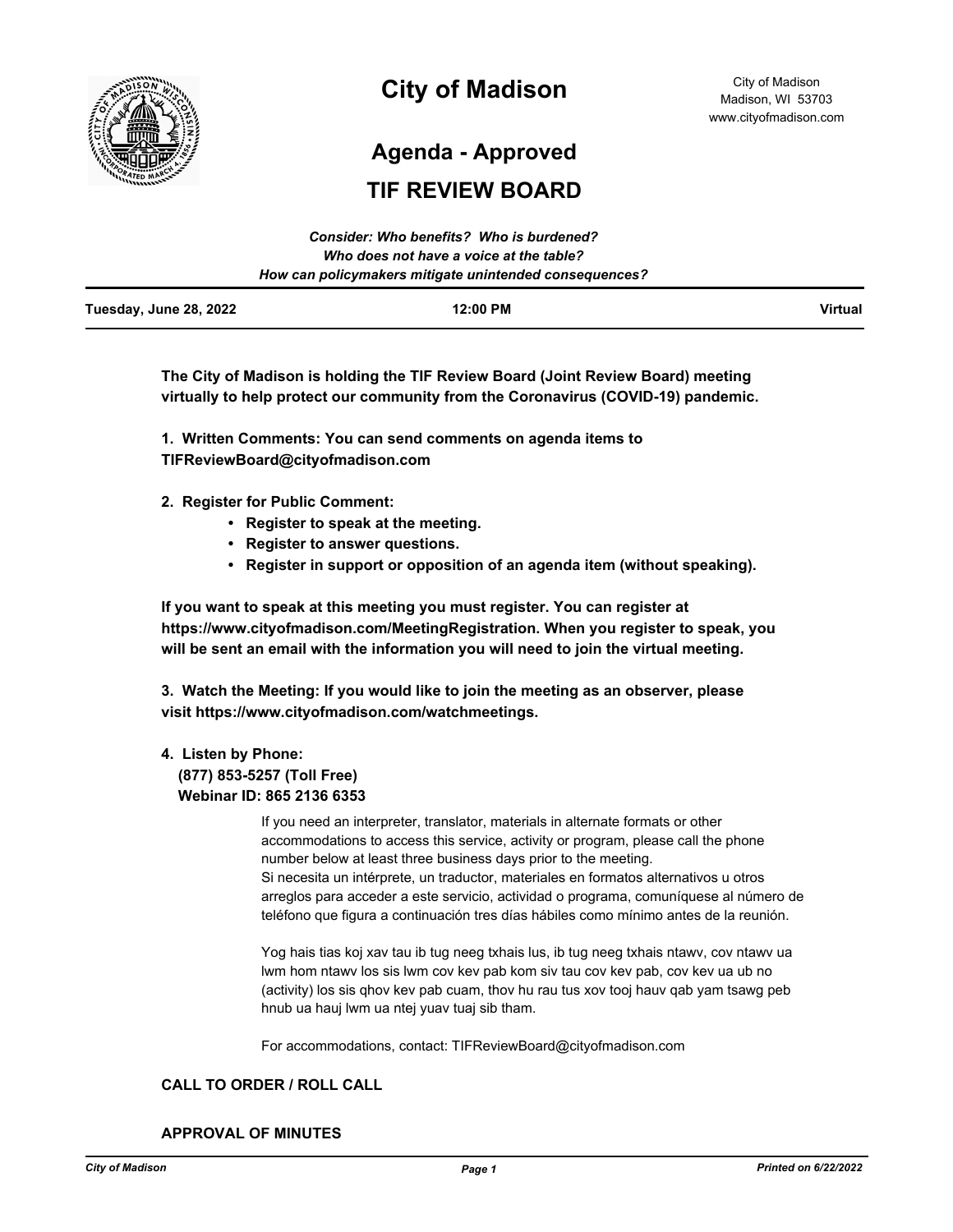

# **City of Madison**

**Agenda - Approved**

# **TIF REVIEW BOARD**

|                        | Consider: Who benefits? Who is burdened?               |                |
|------------------------|--------------------------------------------------------|----------------|
|                        | Who does not have a voice at the table?                |                |
|                        | How can policymakers mitigate unintended consequences? |                |
| Tuesday, June 28, 2022 | 12:00 PM                                               | <b>Virtual</b> |

**The City of Madison is holding the TIF Review Board (Joint Review Board) meeting virtually to help protect our community from the Coronavirus (COVID-19) pandemic.**

**1. Written Comments: You can send comments on agenda items to TIFReviewBoard@cityofmadison.com** 

- **2. Register for Public Comment:** 
	- **Register to speak at the meeting.**
	- **Register to answer questions.**
	- **Register in support or opposition of an agenda item (without speaking).**

**If you want to speak at this meeting you must register. You can register at https://www.cityofmadison.com/MeetingRegistration. When you register to speak, you will be sent an email with the information you will need to join the virtual meeting.**

**3. Watch the Meeting: If you would like to join the meeting as an observer, please visit https://www.cityofmadison.com/watchmeetings.**

## **4. Listen by Phone:**

#### **(877) 853-5257 (Toll Free) Webinar ID: 865 2136 6353**

If you need an interpreter, translator, materials in alternate formats or other accommodations to access this service, activity or program, please call the phone number below at least three business days prior to the meeting. Si necesita un intérprete, un traductor, materiales en formatos alternativos u otros arreglos para acceder a este servicio, actividad o programa, comuníquese al número de teléfono que figura a continuación tres días hábiles como mínimo antes de la reunión.

Yog hais tias koj xav tau ib tug neeg txhais lus, ib tug neeg txhais ntawv, cov ntawv ua lwm hom ntawv los sis lwm cov kev pab kom siv tau cov kev pab, cov kev ua ub no (activity) los sis qhov kev pab cuam, thov hu rau tus xov tooj hauv qab yam tsawg peb hnub ua hauj lwm ua ntej yuav tuaj sib tham.

For accommodations, contact: TIFReviewBoard@cityofmadison.com

#### **CALL TO ORDER / ROLL CALL**

**APPROVAL OF MINUTES**